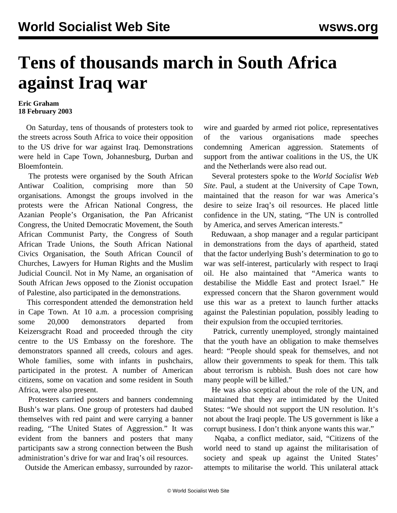## **Tens of thousands march in South Africa against Iraq war**

## **Eric Graham 18 February 2003**

 On Saturday, tens of thousands of protesters took to the streets across South Africa to voice their opposition to the US drive for war against Iraq. Demonstrations were held in Cape Town, Johannesburg, Durban and Bloemfontein.

 The protests were organised by the South African Antiwar Coalition, comprising more than 50 organisations. Amongst the groups involved in the protests were the African National Congress, the Azanian People's Organisation, the Pan Africanist Congress, the United Democratic Movement, the South African Communist Party, the Congress of South African Trade Unions, the South African National Civics Organisation, the South African Council of Churches, Lawyers for Human Rights and the Muslim Judicial Council. Not in My Name, an organisation of South African Jews opposed to the Zionist occupation of Palestine, also participated in the demonstrations.

 This correspondent attended the demonstration held in Cape Town. At 10 a.m. a procession comprising some 20,000 demonstrators departed from Keizersgracht Road and proceeded through the city centre to the US Embassy on the foreshore. The demonstrators spanned all creeds, colours and ages. Whole families, some with infants in pushchairs, participated in the protest. A number of American citizens, some on vacation and some resident in South Africa, were also present.

 Protesters carried posters and banners condemning Bush's war plans. One group of protesters had daubed themselves with red paint and were carrying a banner reading, "The United States of Aggression." It was evident from the banners and posters that many participants saw a strong connection between the Bush administration's drive for war and Iraq's oil resources.

Outside the American embassy, surrounded by razor-

wire and guarded by armed riot police, representatives of the various organisations made speeches condemning American aggression. Statements of support from the antiwar coalitions in the US, the UK and the Netherlands were also read out.

 Several protesters spoke to the *World Socialist Web Site*. Paul, a student at the University of Cape Town, maintained that the reason for war was America's desire to seize Iraq's oil resources. He placed little confidence in the UN, stating, "The UN is controlled by America, and serves American interests."

 Reduwaan, a shop manager and a regular participant in demonstrations from the days of apartheid, stated that the factor underlying Bush's determination to go to war was self-interest, particularly with respect to Iraqi oil. He also maintained that "America wants to destabilise the Middle East and protect Israel." He expressed concern that the Sharon government would use this war as a pretext to launch further attacks against the Palestinian population, possibly leading to their expulsion from the occupied territories.

 Patrick, currently unemployed, strongly maintained that the youth have an obligation to make themselves heard: "People should speak for themselves, and not allow their governments to speak for them. This talk about terrorism is rubbish. Bush does not care how many people will be killed."

 He was also sceptical about the role of the UN, and maintained that they are intimidated by the United States: "We should not support the UN resolution. It's not about the Iraqi people. The US government is like a corrupt business. I don't think anyone wants this war."

 Nqaba, a conflict mediator, said, "Citizens of the world need to stand up against the militarisation of society and speak up against the United States' attempts to militarise the world. This unilateral attack